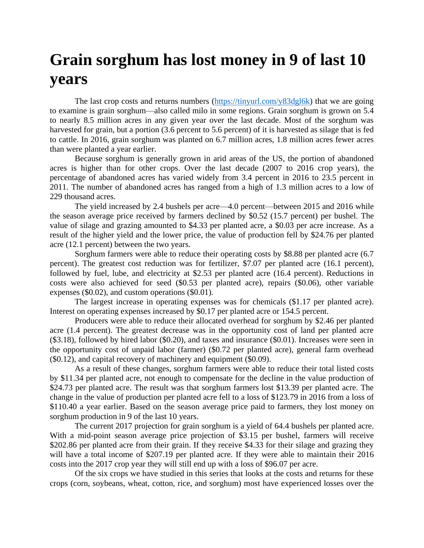## **Grain sorghum has lost money in 9 of last 10 years**

The last crop costs and returns numbers [\(https://tinyurl.com/y83dgl6k\)](https://tinyurl.com/y83dgl6k) that we are going to examine is grain sorghum—also called milo in some regions. Grain sorghum is grown on 5.4 to nearly 8.5 million acres in any given year over the last decade. Most of the sorghum was harvested for grain, but a portion (3.6 percent to 5.6 percent) of it is harvested as silage that is fed to cattle. In 2016, grain sorghum was planted on 6.7 million acres, 1.8 million acres fewer acres than were planted a year earlier.

Because sorghum is generally grown in arid areas of the US, the portion of abandoned acres is higher than for other crops. Over the last decade (2007 to 2016 crop years), the percentage of abandoned acres has varied widely from 3.4 percent in 2016 to 23.5 percent in 2011. The number of abandoned acres has ranged from a high of 1.3 million acres to a low of 229 thousand acres.

The yield increased by 2.4 bushels per acre—4.0 percent—between 2015 and 2016 while the season average price received by farmers declined by \$0.52 (15.7 percent) per bushel. The value of silage and grazing amounted to \$4.33 per planted acre, a \$0.03 per acre increase. As a result of the higher yield and the lower price, the value of production fell by \$24.76 per planted acre (12.1 percent) between the two years.

Sorghum farmers were able to reduce their operating costs by \$8.88 per planted acre (6.7 percent). The greatest cost reduction was for fertilizer, \$7.07 per planted acre (16.1 percent), followed by fuel, lube, and electricity at \$2.53 per planted acre (16.4 percent). Reductions in costs were also achieved for seed (\$0.53 per planted acre), repairs (\$0.06), other variable expenses (\$0.02), and custom operations (\$0.01).

The largest increase in operating expenses was for chemicals (\$1.17 per planted acre). Interest on operating expenses increased by \$0.17 per planted acre or 154.5 percent.

Producers were able to reduce their allocated overhead for sorghum by \$2.46 per planted acre (1.4 percent). The greatest decrease was in the opportunity cost of land per planted acre (\$3.18), followed by hired labor (\$0.20), and taxes and insurance (\$0.01). Increases were seen in the opportunity cost of unpaid labor (farmer) (\$0.72 per planted acre), general farm overhead (\$0.12), and capital recovery of machinery and equipment (\$0.09).

As a result of these changes, sorghum farmers were able to reduce their total listed costs by \$11.34 per planted acre, not enough to compensate for the decline in the value production of \$24.73 per planted acre. The result was that sorghum farmers lost \$13.39 per planted acre. The change in the value of production per planted acre fell to a loss of \$123.79 in 2016 from a loss of \$110.40 a year earlier. Based on the season average price paid to farmers, they lost money on sorghum production in 9 of the last 10 years.

The current 2017 projection for grain sorghum is a yield of 64.4 bushels per planted acre. With a mid-point season average price projection of \$3.15 per bushel, farmers will receive \$202.86 per planted acre from their grain. If they receive \$4.33 for their silage and grazing they will have a total income of \$207.19 per planted acre. If they were able to maintain their 2016 costs into the 2017 crop year they will still end up with a loss of \$96.07 per acre.

Of the six crops we have studied in this series that looks at the costs and returns for these crops (corn, soybeans, wheat, cotton, rice, and sorghum) most have experienced losses over the